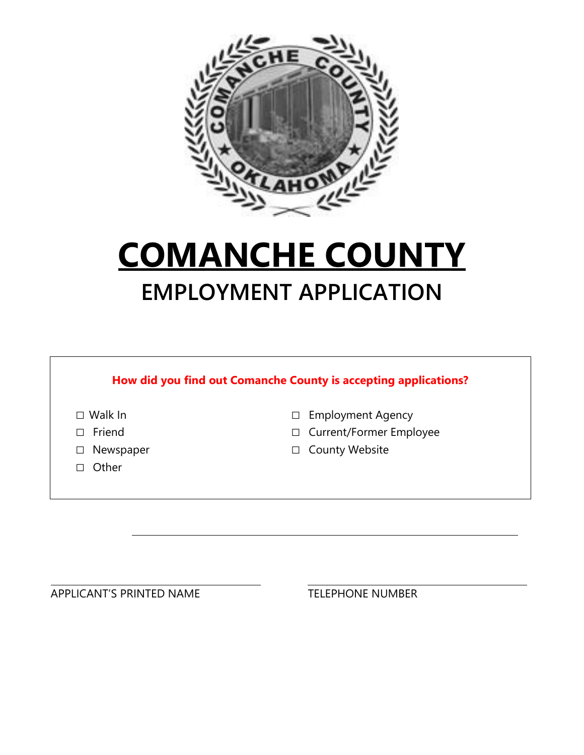

# **COMANCHE COUNTY EMPLOYMENT APPLICATION**

| Walk In   | <b>Employment Agency</b><br>□            |
|-----------|------------------------------------------|
| Friend    | <b>Current/Former Employee</b><br>$\Box$ |
| Newspaper | <b>County Website</b><br>$\Box$          |
| Other     |                                          |

APPLICANT'S PRINTED NAME TELEPHONE NUMBER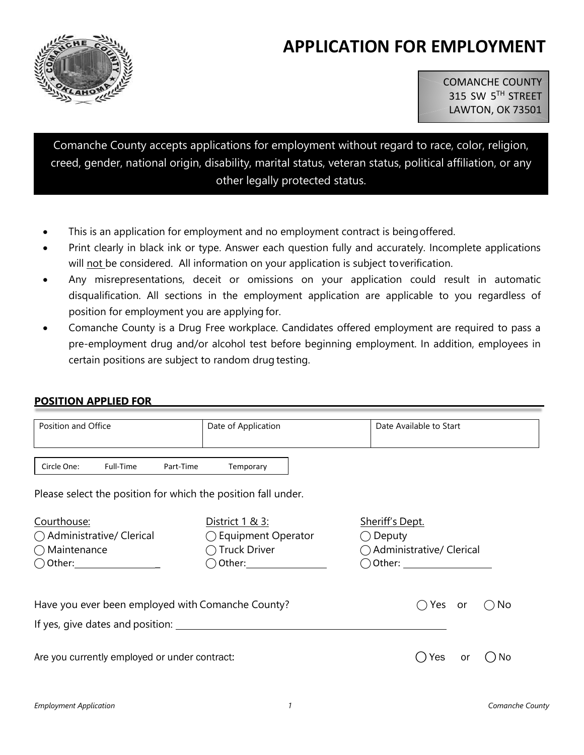# **APPLICATION FOR EMPLOYMENT**



COMANCHE COUNTY 315 SW 5TH STREET LAWTON, OK 73501

Comanche County accepts applications for employment without regard to race, color, religion, creed, gender, national origin, disability, marital status, veteran status, political affiliation, or any other legally protected status.

- This is an application for employment and no employment contract is being offered.
- Print clearly in black ink or type. Answer each question fully and accurately. Incomplete applications will not be considered. All information on your application is subject toverification.
- Any misrepresentations, deceit or omissions on your application could result in automatic disqualification. All sections in the employment application are applicable to you regardless of position for employment you are applying for.
- Comanche County is a Drug Free workplace. Candidates offered employment are required to pass a pre-employment drug and/or alcohol test before beginning employment. In addition, employees in certain positions are subject to random drug testing.

#### **POSITION APPLIED FOR**

| Position and Office                                                                     | Date of Application                                                                                                                                                                           | Date Available to Start                                                                                                                                                   |
|-----------------------------------------------------------------------------------------|-----------------------------------------------------------------------------------------------------------------------------------------------------------------------------------------------|---------------------------------------------------------------------------------------------------------------------------------------------------------------------------|
| Full-Time<br>Circle One:<br>Part-Time                                                   | Temporary                                                                                                                                                                                     |                                                                                                                                                                           |
| Please select the position for which the position fall under.                           |                                                                                                                                                                                               |                                                                                                                                                                           |
| Courthouse:<br>◯ Administrative/ Clerical<br>$\bigcap$ Maintenance<br>$\bigcirc$ Other: | District 1 & 3:<br>$\bigcirc$ Equipment Operator<br>$\bigcap$ Truck Driver<br>Other: and the state of the state of the state of the state of the state of the state of the state of the state | Sheriff's Dept.<br>Deputy<br>◯ Administrative/ Clerical<br>Other: and the contract of the contract of the contract of the contract of the contract of the contract of the |
| Have you ever been employed with Comanche County?                                       |                                                                                                                                                                                               | Yes<br>No<br>or                                                                                                                                                           |
| Are you currently employed or under contract:                                           |                                                                                                                                                                                               | Yes<br>No.<br>or                                                                                                                                                          |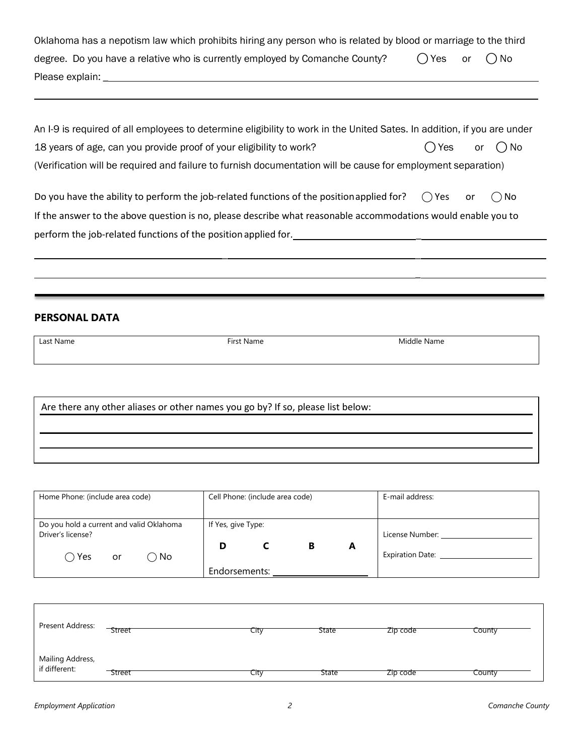| Oklahoma has a nepotism law which prohibits hiring any person who is related by blood or marriage to the third |           |  |       |  |
|----------------------------------------------------------------------------------------------------------------|-----------|--|-------|--|
| degree. Do you have a relative who is currently employed by Comanche County?                                   | () Yes or |  | () No |  |
| Please explain:                                                                                                |           |  |       |  |

| An I-9 is required of all employees to determine eligibility to work in the United Sates. In addition, if you are under |               |  |
|-------------------------------------------------------------------------------------------------------------------------|---------------|--|
| 18 years of age, can you provide proof of your eligibility to work?                                                     | ○ Yes or ○ No |  |
| (Verification will be required and failure to furnish documentation will be cause for employment separation)            |               |  |

| Do you have the ability to perform the job-related functions of the position applied for?                     | $\bigcap$ Yes | ) No |
|---------------------------------------------------------------------------------------------------------------|---------------|------|
| If the answer to the above question is no, please describe what reasonable accommodations would enable you to |               |      |
| perform the job-related functions of the position applied for.                                                |               |      |

\_ \_

\_

### **PERSONAL DATA**

| Last Name                                                                       | First Name | Middle Name |  |  |
|---------------------------------------------------------------------------------|------------|-------------|--|--|
|                                                                                 |            |             |  |  |
|                                                                                 |            |             |  |  |
|                                                                                 |            |             |  |  |
|                                                                                 |            |             |  |  |
| Are there any other aliases or other names you go by? If so, please list below: |            |             |  |  |

| Home Phone: (include area code)                               |    |               |                    | Cell Phone: (include area code) |   |   | E-mail address:         |
|---------------------------------------------------------------|----|---------------|--------------------|---------------------------------|---|---|-------------------------|
|                                                               |    |               |                    |                                 |   |   |                         |
| Do you hold a current and valid Oklahoma<br>Driver's license? |    |               | If Yes, give Type: |                                 |   |   | License Number:         |
|                                                               |    |               |                    |                                 |   |   |                         |
| Yes                                                           | or | $\bigcirc$ No | D                  |                                 | В | A | <b>Expiration Date:</b> |
|                                                               |    |               | Endorsements:      |                                 |   |   |                         |

| Present Address:                  | Street | City | <b>State</b> | Zip code | County |
|-----------------------------------|--------|------|--------------|----------|--------|
| Mailing Address,<br>if different: | Street | City | <b>State</b> | Zip code | County |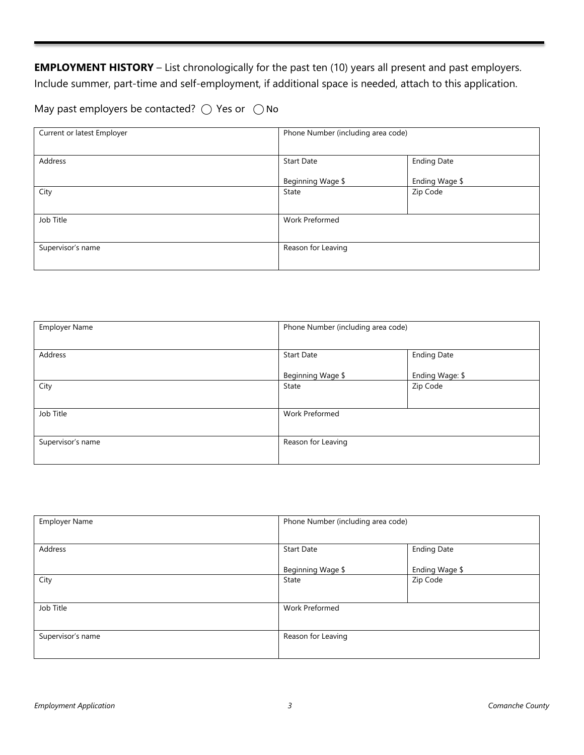**EMPLOYMENT HISTORY** – List chronologically for the past ten (10) years all present and past employers. Include summer, part-time and self-employment, if additional space is needed, attach to this application.

May past employers be contacted?  $\bigcirc$  Yes or  $\bigcirc$  No

| Current or latest Employer | Phone Number (including area code) |                    |  |
|----------------------------|------------------------------------|--------------------|--|
| Address                    | <b>Start Date</b>                  | <b>Ending Date</b> |  |
|                            | Beginning Wage \$                  | Ending Wage \$     |  |
| City                       | State                              | Zip Code           |  |
| Job Title                  | <b>Work Preformed</b>              |                    |  |
| Supervisor's name          | Reason for Leaving                 |                    |  |

| <b>Employer Name</b> | Phone Number (including area code) |                    |  |
|----------------------|------------------------------------|--------------------|--|
| Address              | <b>Start Date</b>                  | <b>Ending Date</b> |  |
|                      | Beginning Wage \$                  | Ending Wage: \$    |  |
| City                 | State                              | Zip Code           |  |
| Job Title            | <b>Work Preformed</b>              |                    |  |
| Supervisor's name    | Reason for Leaving                 |                    |  |

| <b>Employer Name</b> | Phone Number (including area code) |                    |  |
|----------------------|------------------------------------|--------------------|--|
| Address              | <b>Start Date</b>                  | <b>Ending Date</b> |  |
|                      | Beginning Wage \$                  | Ending Wage \$     |  |
| City                 | State                              | Zip Code           |  |
| Job Title            | <b>Work Preformed</b>              |                    |  |
| Supervisor's name    | Reason for Leaving                 |                    |  |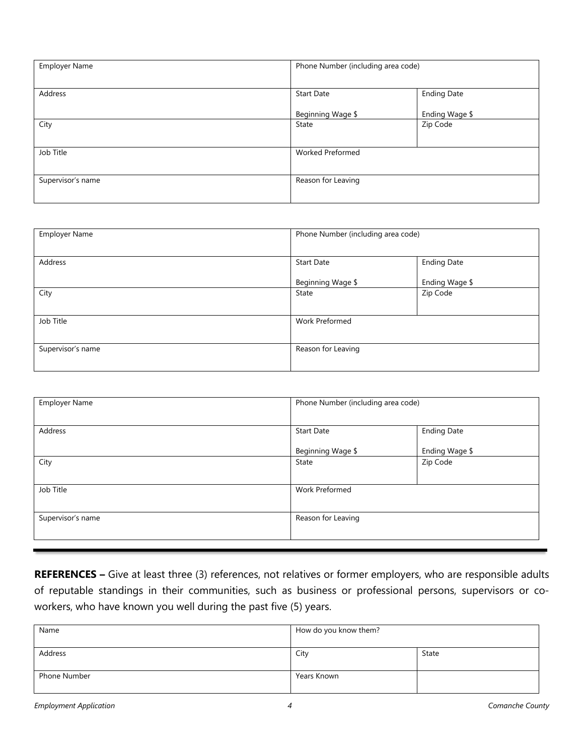| <b>Employer Name</b> | Phone Number (including area code) |                    |  |
|----------------------|------------------------------------|--------------------|--|
| Address              | <b>Start Date</b>                  | <b>Ending Date</b> |  |
|                      | Beginning Wage \$                  | Ending Wage \$     |  |
| City                 | State                              | Zip Code           |  |
| Job Title            | <b>Worked Preformed</b>            |                    |  |
| Supervisor's name    | Reason for Leaving                 |                    |  |

| <b>Employer Name</b> | Phone Number (including area code) |                    |
|----------------------|------------------------------------|--------------------|
|                      |                                    |                    |
| Address              | <b>Start Date</b>                  | <b>Ending Date</b> |
|                      | Beginning Wage \$                  | Ending Wage \$     |
| City                 | State                              | Zip Code           |
|                      |                                    |                    |
| Job Title            | Work Preformed                     |                    |
|                      |                                    |                    |
| Supervisor's name    | Reason for Leaving                 |                    |
|                      |                                    |                    |

| <b>Employer Name</b> | Phone Number (including area code) |                    |
|----------------------|------------------------------------|--------------------|
| Address              | <b>Start Date</b>                  | <b>Ending Date</b> |
|                      | Beginning Wage \$                  | Ending Wage \$     |
| City                 | State                              | Zip Code           |
| Job Title            | <b>Work Preformed</b>              |                    |
| Supervisor's name    | Reason for Leaving                 |                    |

**REFERENCES –** Give at least three (3) references, not relatives or former employers, who are responsible adults of reputable standings in their communities, such as business or professional persons, supervisors or coworkers, who have known you well during the past five (5) years.

| Name         | How do you know them? |       |
|--------------|-----------------------|-------|
| Address      | City                  | State |
| Phone Number | Years Known           |       |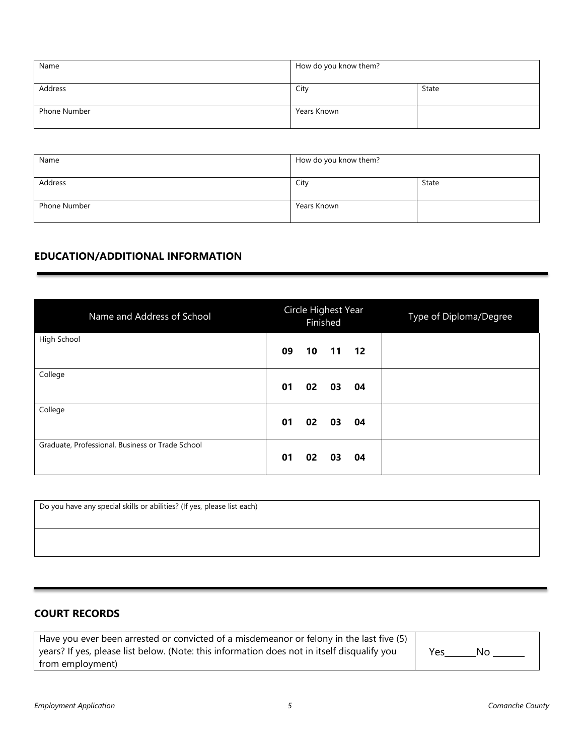| Name         | How do you know them? |       |
|--------------|-----------------------|-------|
| Address      | City                  | State |
| Phone Number | Years Known           |       |

| Name         | How do you know them? |       |
|--------------|-----------------------|-------|
| Address      | City                  | State |
| Phone Number | Years Known           |       |

#### **EDUCATION/ADDITIONAL INFORMATION**

| Name and Address of School                       | Circle Highest Year<br>Finished | Type of Diploma/Degree |
|--------------------------------------------------|---------------------------------|------------------------|
| High School                                      | 09<br>10 11 12                  |                        |
| College                                          | 03<br>04<br>01<br>02            |                        |
| College                                          | 02<br>03<br>01<br>04            |                        |
| Graduate, Professional, Business or Trade School | 03<br>04<br>01<br>02            |                        |

Do you have any special skills or abilities? (If yes, please list each)

#### **COURT RECORDS**

| Have you ever been arrested or convicted of a misdemeanor or felony in the last five (5)    |     |  |
|---------------------------------------------------------------------------------------------|-----|--|
| years? If yes, please list below. (Note: this information does not in itself disqualify you | Yes |  |
| from employment)                                                                            |     |  |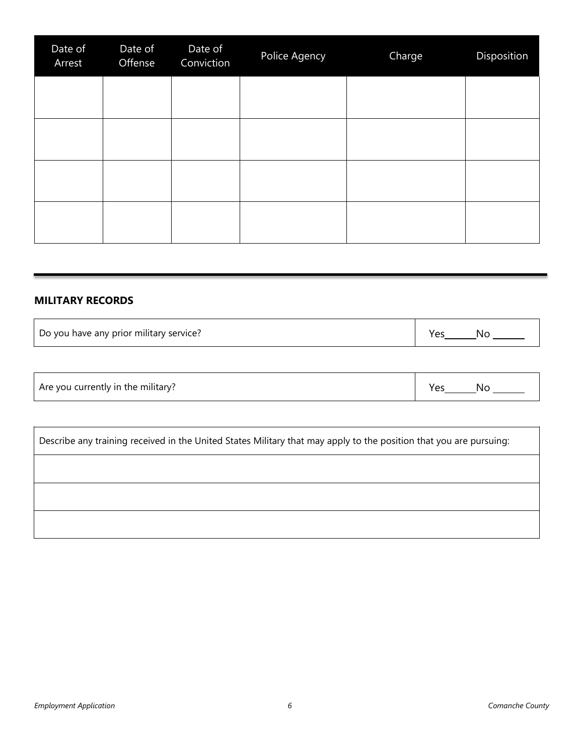| Date of<br>Arrest | Date of<br>Offense | Date of<br>Conviction | Police Agency | Charge | Disposition |
|-------------------|--------------------|-----------------------|---------------|--------|-------------|
|                   |                    |                       |               |        |             |
|                   |                    |                       |               |        |             |
|                   |                    |                       |               |        |             |
|                   |                    |                       |               |        |             |

#### **MILITARY RECORDS**

 $\mathsf{r}$ 

 $\Gamma$ 

| Do you have any prior military service? |  | N٢ |
|-----------------------------------------|--|----|
|-----------------------------------------|--|----|

| $\cdots$<br>Are you currently in the military? |  | 'N. |
|------------------------------------------------|--|-----|
|------------------------------------------------|--|-----|

| Describe any training received in the United States Military that may apply to the position that you are pursuing: |
|--------------------------------------------------------------------------------------------------------------------|
|                                                                                                                    |
|                                                                                                                    |
|                                                                                                                    |

 $\overline{\phantom{a}}$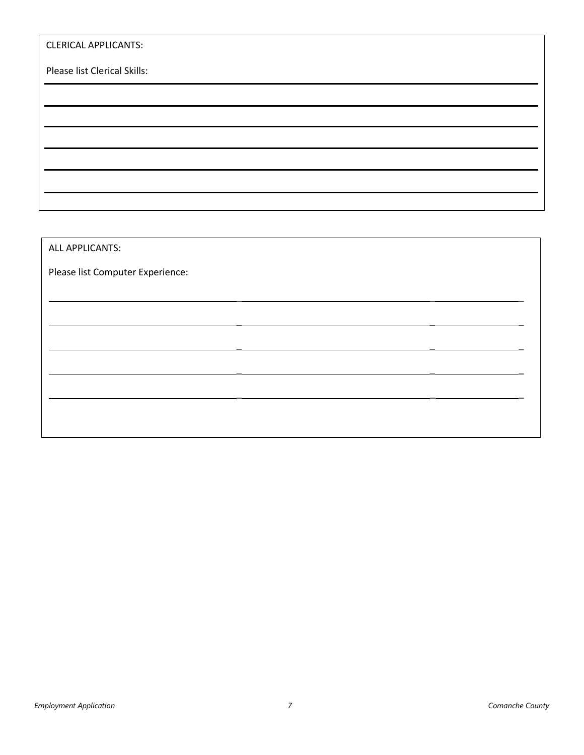| <b>CLERICAL APPLICANTS:</b>  |  |
|------------------------------|--|
| Please list Clerical Skills: |  |
|                              |  |
|                              |  |
|                              |  |
|                              |  |
|                              |  |
|                              |  |

\_ \_ \_

\_ \_ \_

\_ \_ \_

\_ \_ \_

\_ \_ \_

ALL APPLICANTS:

Please list Computer Experience: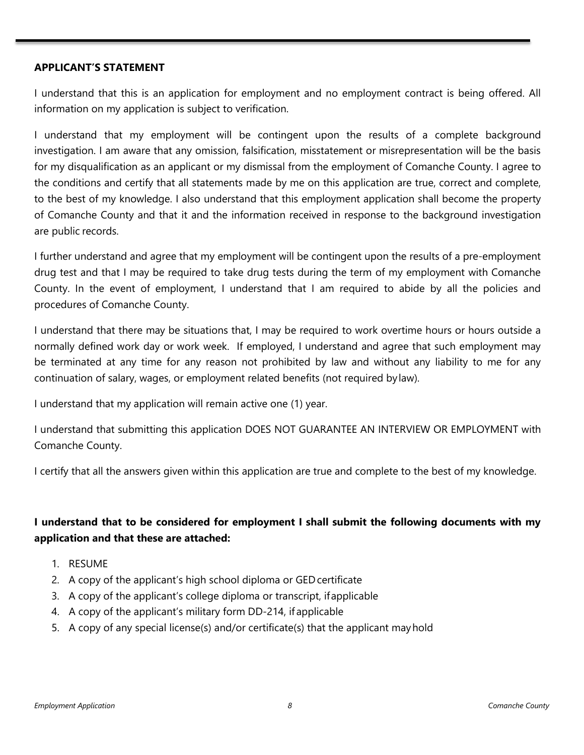#### **APPLICANT'S STATEMENT**

I understand that this is an application for employment and no employment contract is being offered. All information on my application is subject to verification.

I understand that my employment will be contingent upon the results of a complete background investigation. I am aware that any omission, falsification, misstatement or misrepresentation will be the basis for my disqualification as an applicant or my dismissal from the employment of Comanche County. I agree to the conditions and certify that all statements made by me on this application are true, correct and complete, to the best of my knowledge. I also understand that this employment application shall become the property of Comanche County and that it and the information received in response to the background investigation are public records.

I further understand and agree that my employment will be contingent upon the results of a pre-employment drug test and that I may be required to take drug tests during the term of my employment with Comanche County. In the event of employment, I understand that I am required to abide by all the policies and procedures of Comanche County.

I understand that there may be situations that, I may be required to work overtime hours or hours outside a normally defined work day or work week. If employed, I understand and agree that such employment may be terminated at any time for any reason not prohibited by law and without any liability to me for any continuation of salary, wages, or employment related benefits (not required bylaw).

I understand that my application will remain active one (1) year.

I understand that submitting this application DOES NOT GUARANTEE AN INTERVIEW OR EMPLOYMENT with Comanche County.

I certify that all the answers given within this application are true and complete to the best of my knowledge.

#### **I understand that to be considered for employment I shall submit the following documents with my application and that these are attached:**

- 1. RESUME
- 2. A copy of the applicant's high school diploma or GEDcertificate
- 3. A copy of the applicant's college diploma or transcript, ifapplicable
- 4. A copy of the applicant's military form DD-214, if applicable
- 5. A copy of any special license(s) and/or certificate(s) that the applicant mayhold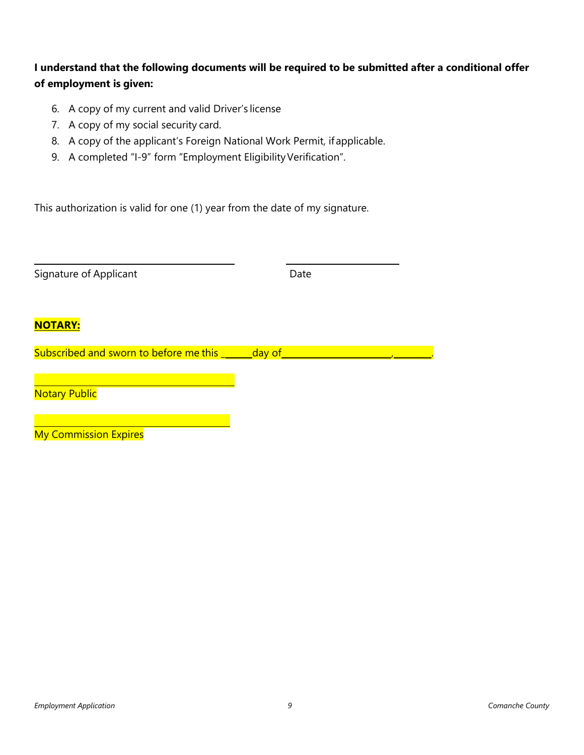#### **I understand that the following documents will be required to be submitted after a conditional offer of employment is given:**

- 6. A copy of my current and valid Driver's license
- 7. A copy of my social security card.
- 8. A copy of the applicant's Foreign National Work Permit, ifapplicable.
- 9. A completed "I-9" form "Employment Eligibility Verification".

This authorization is valid for one (1) year from the date of my signature.

| Signature of Applicant                               | Date |
|------------------------------------------------------|------|
| <b>NOTARY:</b>                                       |      |
| Subscribed and sworn to before me this _______day of |      |
| <b>Notary Public</b>                                 |      |
| <b>My Commission Expires</b>                         |      |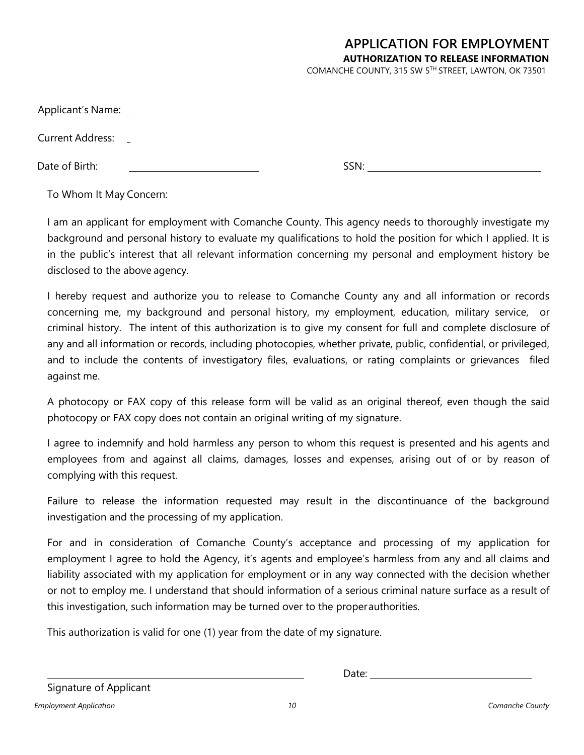# **APPLICATION FOR EMPLOYMENT AUTHORIZATION TO RELEASE INFORMATION**

COMANCHE COUNTY, 315 SW 5TH STREET, LAWTON, OK 73501

SSN:

Applicant's Name:

Current Address:

Date of Birth:

To Whom It May Concern:

I am an applicant for employment with Comanche County. This agency needs to thoroughly investigate my background and personal history to evaluate my qualifications to hold the position for which I applied. It is in the public's interest that all relevant information concerning my personal and employment history be disclosed to the above agency.

I hereby request and authorize you to release to Comanche County any and all information or records concerning me, my background and personal history, my employment, education, military service, or criminal history. The intent of this authorization is to give my consent for full and complete disclosure of any and all information or records, including photocopies, whether private, public, confidential, or privileged, and to include the contents of investigatory files, evaluations, or rating complaints or grievances filed against me.

A photocopy or FAX copy of this release form will be valid as an original thereof, even though the said photocopy or FAX copy does not contain an original writing of my signature.

I agree to indemnify and hold harmless any person to whom this request is presented and his agents and employees from and against all claims, damages, losses and expenses, arising out of or by reason of complying with this request.

Failure to release the information requested may result in the discontinuance of the background investigation and the processing of my application.

For and in consideration of Comanche County's acceptance and processing of my application for employment I agree to hold the Agency, it's agents and employee's harmless from any and all claims and liability associated with my application for employment or in any way connected with the decision whether or not to employ me. I understand that should information of a serious criminal nature surface as a result of this investigation, such information may be turned over to the properauthorities.

This authorization is valid for one (1) year from the date of my signature.

Date: